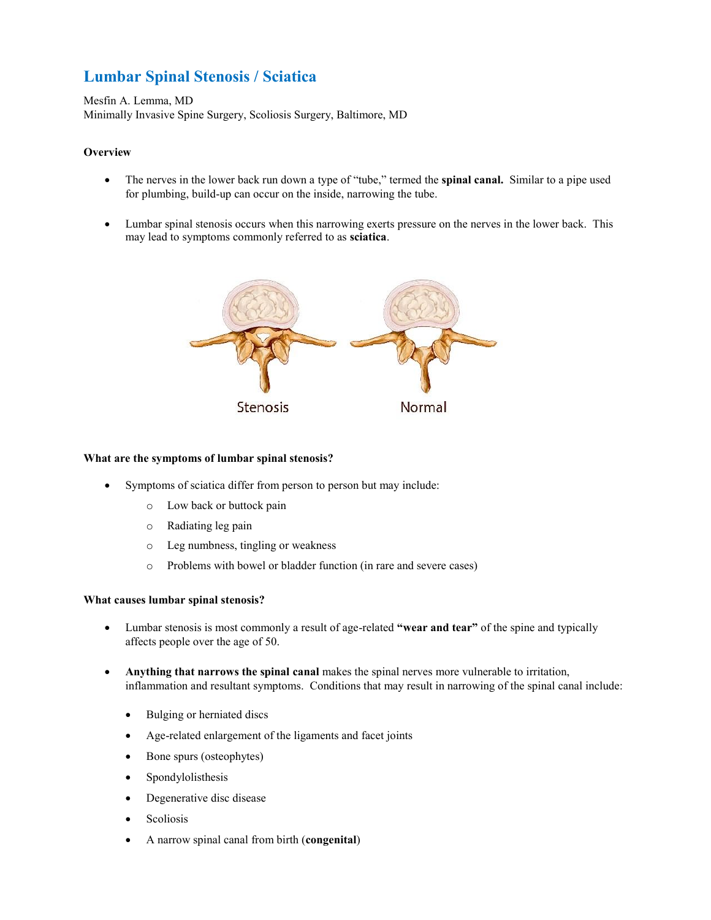# **Lumbar Spinal Stenosis / Sciatica**

Mesfin A. Lemma, MD Minimally Invasive Spine Surgery, Scoliosis Surgery, Baltimore, MD

# **Overview**

- The nerves in the lower back run down a type of "tube," termed the **spinal canal.** Similar to a pipe used for plumbing, build-up can occur on the inside, narrowing the tube.
- Lumbar spinal stenosis occurs when this narrowing exerts pressure on the nerves in the lower back. This may lead to symptoms commonly referred to as **sciatica**.



## **What are the symptoms of lumbar spinal stenosis?**

- Symptoms of sciatica differ from person to person but may include:
	- o Low back or buttock pain
	- o Radiating leg pain
	- o Leg numbness, tingling or weakness
	- o Problems with bowel or bladder function (in rare and severe cases)

## **What causes lumbar spinal stenosis?**

- Lumbar stenosis is most commonly a result of age-related **"wear and tear"** of the spine and typically affects people over the age of 50.
- **Anything that narrows the spinal canal** makes the spinal nerves more vulnerable to irritation, inflammation and resultant symptoms. Conditions that may result in narrowing of the spinal canal include:
	- Bulging or herniated discs
	- Age-related enlargement of the ligaments and facet joints
	- Bone spurs (osteophytes)
	- Spondylolisthesis
	- Degenerative disc disease
	- Scoliosis
	- A narrow spinal canal from birth (**congenital**)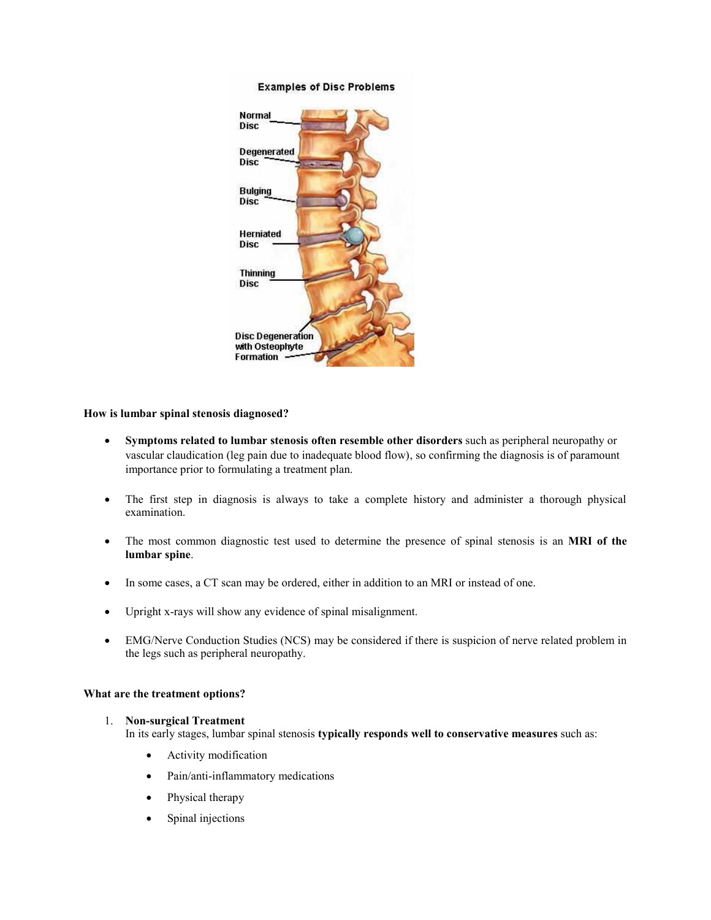#### **Examples of Disc Problems**



#### **How is lumbar spinal stenosis diagnosed?**

- **Symptoms related to lumbar stenosis often resemble other disorders** such as peripheral neuropathy or vascular claudication (leg pain due to inadequate blood flow), so confirming the diagnosis is of paramount importance prior to formulating a treatment plan.
- The first step in diagnosis is always to take a complete history and administer a thorough physical examination.
- The most common diagnostic test used to determine the presence of spinal stenosis is an **MRI of the lumbar spine**.
- In some cases, a CT scan may be ordered, either in addition to an MRI or instead of one.
- Upright x-rays will show any evidence of spinal misalignment.
- EMG/Nerve Conduction Studies (NCS) may be considered if there is suspicion of nerve related problem in the legs such as peripheral neuropathy.

#### **What are the treatment options?**

#### 1. **Non-surgical Treatment**

In its early stages, lumbar spinal stenosis **typically responds well to conservative measures** such as:

- Activity modification
- Pain/anti-inflammatory medications
- Physical therapy
- Spinal injections